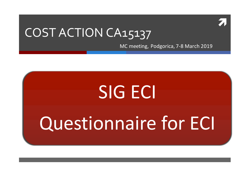ì

## COST ACTION CA15137

MC meeting, Podgorica, 7-8 March 2019

# SIG ECI Questionnaire for ECI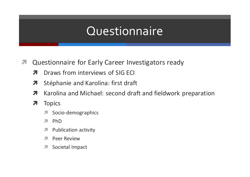### **Questionnaire**

- Questionnaire for Early Career Investigators ready
	- Draws from interviews of SIG ECI
	- 7 Stéphanie and Karolina: first draft
	- Karolina and Michael: second draft and fieldwork preparation
	- Topics
		- Socio-demographics
		- PhD
		- $\sqrt{ }$  Publication activity
		- Peer Review
		- Societal Impact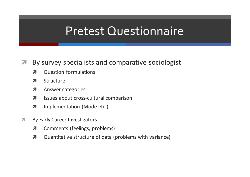### **Pretest Questionnaire**

#### By survey specialists and comparative sociologist  $\overline{\phantom{a}}$

- **Question formulations** 7
- Structure 7
- Answer categories  $\overline{\mathbf{z}}$
- Issues about cross-cultural comparison  $\overline{\mathbf{z}}$
- Implementation (Mode etc.)  $\overline{\boldsymbol{\pi}}$
- $\overline{\mathbf{z}}$ By Early Career Investigators
	- Comments (feelings, problems)  $\overline{\phantom{a}}$
	- Quantitative structure of data (problems with variance)  $\overline{\mathbf{z}}$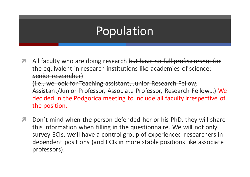### Population

- **7** All faculty who are doing research but have no full professorship (or the equivalent in research institutions like academies of science: Senior researcher) (i.e., we look for Teaching assistant, Junior Research Fellow, Assistant/Junior Professor, Associate Professor, Research Fellow...) We decided in the Podgorica meeting to include all faculty irrespective of the position.
- **7** Don't mind when the person defended her or his PhD, they will share this information when filling in the questionnaire. We will not only survey ECIs, we'll have a control group of experienced researchers in dependent positions (and ECIs in more stable positions like associate professors).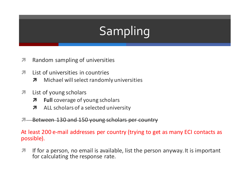# Sampling

- $\lambda$  Random sampling of universities
- $\overline{\mathbf{a}}$  List of universities in countries
	- **7** Michael will select randomly universities
- $\pi$  List of young scholars
	- **7** Full coverage of young scholars
	- $\lambda$  ALL scholars of a selected university
- Between 130 and 150 young scholars per country

At least 200 e-mail addresses per country (trying to get as many ECI contacts as possible). 

 $\blacktriangledown$  If for a person, no email is available, list the person anyway. It is important for calculating the response rate.